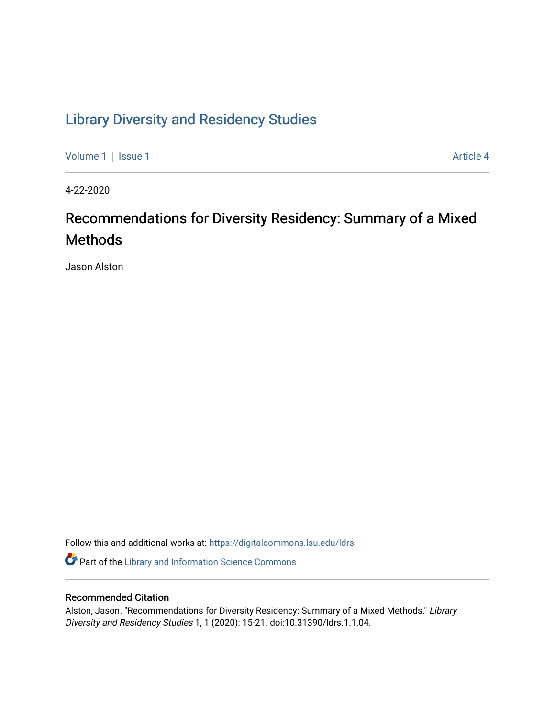# [Library Diversity and Residency Studies](https://digitalcommons.lsu.edu/ldrs)

[Volume 1](https://digitalcommons.lsu.edu/ldrs/vol1) | [Issue 1](https://digitalcommons.lsu.edu/ldrs/vol1/iss1) Article 4

4-22-2020

# Recommendations for Diversity Residency: Summary of a Mixed Methods

Jason Alston

Follow this and additional works at: [https://digitalcommons.lsu.edu/ldrs](https://digitalcommons.lsu.edu/ldrs?utm_source=digitalcommons.lsu.edu%2Fldrs%2Fvol1%2Fiss1%2F4&utm_medium=PDF&utm_campaign=PDFCoverPages) 

**P** Part of the Library and Information Science Commons

# Recommended Citation

Alston, Jason. "Recommendations for Diversity Residency: Summary of a Mixed Methods." Library Diversity and Residency Studies 1, 1 (2020): 15-21. doi:10.31390/ldrs.1.1.04.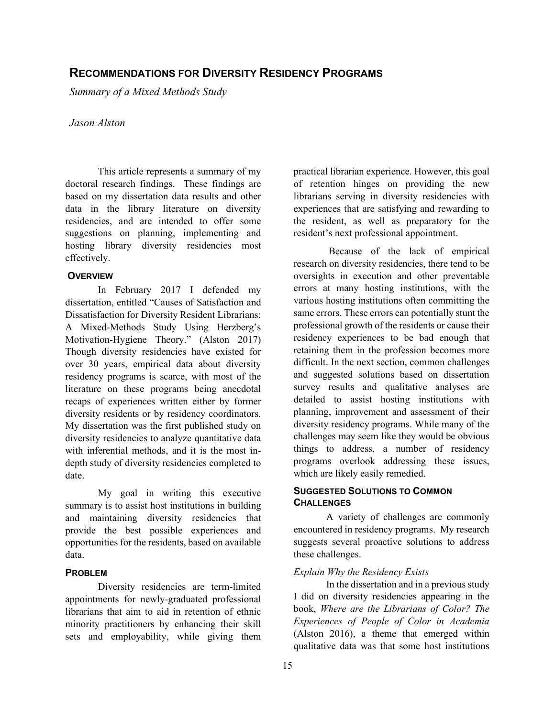# **RECOMMENDATIONS FOR DIVERSITY RESIDENCY PROGRAMS**

 *Summary of a Mixed Methods Study Jason Alston* 

#### *<u>Iason Alston</u>*

 doctoral research findings. These findings are This article represents a summary of my based on my dissertation data results and other data in the library literature on diversity residencies, and are intended to offer some suggestions on planning, implementing and hosting library diversity residencies most effectively.

## **OVERVIEW**

 over 30 years, empirical data about diversity In February 2017 I defended my dissertation, entitled "Causes of Satisfaction and Dissatisfaction for Diversity Resident Librarians: A Mixed-Methods Study Using Herzberg's Motivation-Hygiene Theory." (Alston 2017) Though diversity residencies have existed for residency programs is scarce, with most of the literature on these programs being anecdotal recaps of experiences written either by former diversity residents or by residency coordinators. My dissertation was the first published study on diversity residencies to analyze quantitative data with inferential methods, and it is the most indepth study of diversity residencies completed to date.

 summary is to assist host institutions in building and maintaining diversity residencies that My goal in writing this executive provide the best possible experiences and opportunities for the residents, based on available data.

## **PROBLEM**

Diversity residencies are term-limited appointments for newly-graduated professional librarians that aim to aid in retention of ethnic minority practitioners by enhancing their skill sets and employability, while giving them practical librarian experience. However, this goal of retention hinges on providing the new librarians serving in diversity residencies with experiences that are satisfying and rewarding to the resident, as well as preparatory for the resident's next professional appointment.

 Because of the lack of empirical oversights in execution and other preventable same errors. These errors can potentially stunt the professional growth of the residents or cause their retaining them in the profession becomes more detailed to assist hosting institutions with planning, improvement and assessment of their diversity residency programs. While many of the things to address, a number of residency research on diversity residencies, there tend to be errors at many hosting institutions, with the various hosting institutions often committing the residency experiences to be bad enough that difficult. In the next section, common challenges and suggested solutions based on dissertation survey results and qualitative analyses are challenges may seem like they would be obvious programs overlook addressing these issues, which are likely easily remedied.

# **SUGGESTED SOLUTIONS TO COMMON CHALLENGES**

 A variety of challenges are commonly suggests several proactive solutions to address encountered in residency programs. My research these challenges.

#### *Explain Why the Residency Exists*

 In the dissertation and in a previous study (Alston 2016), a theme that emerged within qualitative data was that some host institutions I did on diversity residencies appearing in the book, *Where are the Librarians of Color? The Experiences of People of Color in Academia*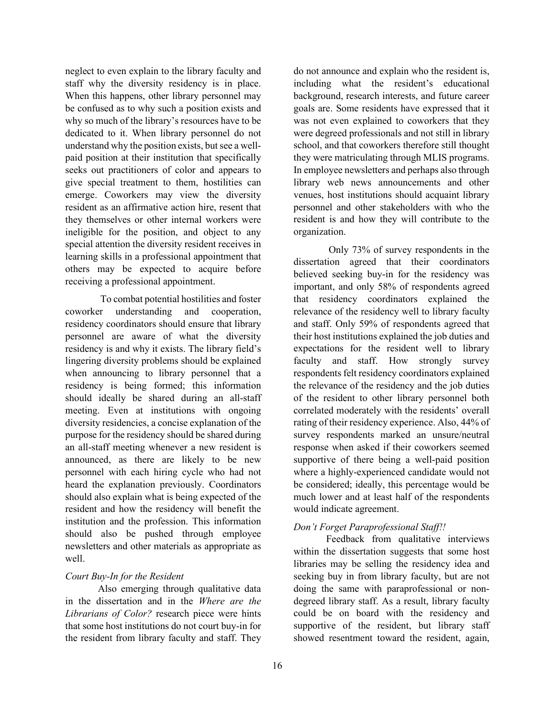neglect to even explain to the library faculty and staff why the diversity residency is in place. give special treatment to them, hostilities can special attention the diversity resident receives in When this happens, other library personnel may be confused as to why such a position exists and why so much of the library's resources have to be dedicated to it. When library personnel do not understand why the position exists, but see a wellpaid position at their institution that specifically seeks out practitioners of color and appears to emerge. Coworkers may view the diversity resident as an affirmative action hire, resent that they themselves or other internal workers were ineligible for the position, and object to any learning skills in a professional appointment that others may be expected to acquire before receiving a professional appointment.

 residency coordinators should ensure that library lingering diversity problems should be explained when announcing to library personnel that a residency is being formed; this information newsletters and other materials as appropriate as To combat potential hostilities and foster coworker understanding and cooperation, personnel are aware of what the diversity residency is and why it exists. The library field's should ideally be shared during an all-staff meeting. Even at institutions with ongoing diversity residencies, a concise explanation of the purpose for the residency should be shared during an all-staff meeting whenever a new resident is announced, as there are likely to be new personnel with each hiring cycle who had not heard the explanation previously. Coordinators should also explain what is being expected of the resident and how the residency will benefit the institution and the profession. This information should also be pushed through employee well.

# *Court Buy-In for the Resident*

 in the dissertation and in the *Where are the*  Also emerging through qualitative data *Librarians of Color?* research piece were hints that some host institutions do not court buy-in for the resident from library faculty and staff. They

 do not announce and explain who the resident is, including what the resident's educational background, research interests, and future career was not even explained to coworkers that they school, and that coworkers therefore still thought In employee newsletters and perhaps also through library web news announcements and other goals are. Some residents have expressed that it were degreed professionals and not still in library they were matriculating through MLIS programs. venues, host institutions should acquaint library personnel and other stakeholders with who the resident is and how they will contribute to the organization.

 important, and only 58% of respondents agreed relevance of the residency well to library faculty and staff. Only 59% of respondents agreed that their host institutions explained the job duties and expectations for the resident well to library respondents felt residency coordinators explained the relevance of the residency and the job duties of the resident to other library personnel both correlated moderately with the residents' overall rating of their residency experience. Also, 44% of supportive of there being a well-paid position Only 73% of survey respondents in the dissertation agreed that their coordinators believed seeking buy-in for the residency was that residency coordinators explained the faculty and staff. How strongly survey survey respondents marked an unsure/neutral response when asked if their coworkers seemed where a highly-experienced candidate would not be considered; ideally, this percentage would be much lower and at least half of the respondents would indicate agreement.

# *Don't Forget Paraprofessional Staff!!*

 within the dissertation suggests that some host libraries may be selling the residency idea and could be on board with the residency and supportive of the resident, but library staff Feedback from qualitative interviews seeking buy in from library faculty, but are not doing the same with paraprofessional or nondegreed library staff. As a result, library faculty showed resentment toward the resident, again,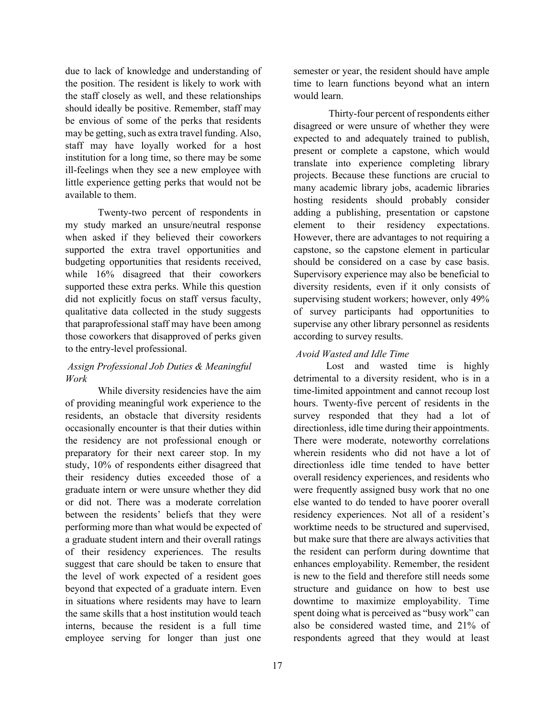due to lack of knowledge and understanding of should ideally be positive. Remember, staff may be envious of some of the perks that residents staff may have loyally worked for a host institution for a long time, so there may be some ill-feelings when they see a new employee with the position. The resident is likely to work with the staff closely as well, and these relationships may be getting, such as extra travel funding. Also, little experience getting perks that would not be available to them.

 while 16% disagreed that their coworkers supported these extra perks. While this question those coworkers that disapproved of perks given Twenty-two percent of respondents in my study marked an unsure/neutral response when asked if they believed their coworkers supported the extra travel opportunities and budgeting opportunities that residents received, did not explicitly focus on staff versus faculty, qualitative data collected in the study suggests that paraprofessional staff may have been among to the entry-level professional.

# *Assign Professional Job Duties & Meaningful Work*

 occasionally encounter is that their duties within preparatory for their next career stop. In my in situations where residents may have to learn the same skills that a host institution would teach While diversity residencies have the aim of providing meaningful work experience to the residents, an obstacle that diversity residents the residency are not professional enough or study, 10% of respondents either disagreed that their residency duties exceeded those of a graduate intern or were unsure whether they did or did not. There was a moderate correlation between the residents' beliefs that they were performing more than what would be expected of a graduate student intern and their overall ratings of their residency experiences. The results suggest that care should be taken to ensure that the level of work expected of a resident goes beyond that expected of a graduate intern. Even interns, because the resident is a full time employee serving for longer than just one

 time to learn functions beyond what an intern semester or year, the resident should have ample would learn.

 disagreed or were unsure of whether they were translate into experience completing library adding a publishing, presentation or capstone element to their residency expectations. However, there are advantages to not requiring a Supervisory experience may also be beneficial to of survey participants had opportunities to according to survey results. Thirty-four percent of respondents either expected to and adequately trained to publish, present or complete a capstone, which would projects. Because these functions are crucial to many academic library jobs, academic libraries hosting residents should probably consider capstone, so the capstone element in particular should be considered on a case by case basis. diversity residents, even if it only consists of supervising student workers; however, only 49% supervise any other library personnel as residents

# *Avoid Wasted and Idle Time*

 detrimental to a diversity resident, who is in a survey responded that they had a lot of wherein residents who did not have a lot of directionless idle time tended to have better the resident can perform during downtime that downtime to maximize employability. Time also be considered wasted time, and 21% of Lost and wasted time is highly time-limited appointment and cannot recoup lost hours. Twenty-five percent of residents in the directionless, idle time during their appointments. There were moderate, noteworthy correlations overall residency experiences, and residents who were frequently assigned busy work that no one else wanted to do tended to have poorer overall residency experiences. Not all of a resident's worktime needs to be structured and supervised, but make sure that there are always activities that enhances employability. Remember, the resident is new to the field and therefore still needs some structure and guidance on how to best use spent doing what is perceived as "busy work" can respondents agreed that they would at least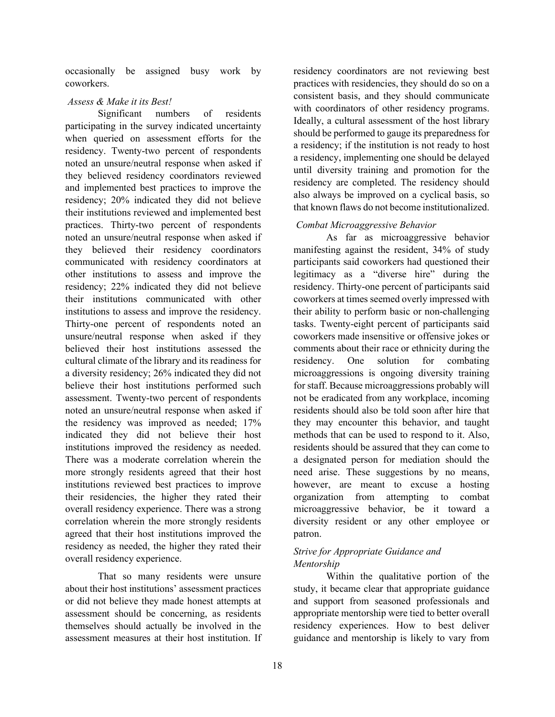occasionally be assigned busy work by coworkers.

# *Assess & Make it its Best!*

 when queried on assessment efforts for the residency. Twenty-two percent of respondents residency; 20% indicated they did not believe communicated with residency coordinators at other institutions to assess and improve the residency; 22% indicated they did not believe cultural climate of the library and its readiness for believe their host institutions performed such indicated they did not believe their host their residencies, the higher they rated their residency as needed, the higher they rated their Significant numbers of residents participating in the survey indicated uncertainty noted an unsure/neutral response when asked if they believed residency coordinators reviewed and implemented best practices to improve the their institutions reviewed and implemented best practices. Thirty-two percent of respondents noted an unsure/neutral response when asked if they believed their residency coordinators their institutions communicated with other institutions to assess and improve the residency. Thirty-one percent of respondents noted an unsure/neutral response when asked if they believed their host institutions assessed the a diversity residency; 26% indicated they did not assessment. Twenty-two percent of respondents noted an unsure/neutral response when asked if the residency was improved as needed; 17% institutions improved the residency as needed. There was a moderate correlation wherein the more strongly residents agreed that their host institutions reviewed best practices to improve overall residency experience. There was a strong correlation wherein the more strongly residents agreed that their host institutions improved the overall residency experience.

That so many residents were unsure about their host institutions' assessment practices or did not believe they made honest attempts at assessment should be concerning, as residents themselves should actually be involved in the assessment measures at their host institution. If

 residency coordinators are not reviewing best practices with residencies, they should do so on a consistent basis, and they should communicate with coordinators of other residency programs. Ideally, a cultural assessment of the host library should be performed to gauge its preparedness for a residency; if the institution is not ready to host a residency, implementing one should be delayed until diversity training and promotion for the residency are completed. The residency should also always be improved on a cyclical basis, so that known flaws do not become institutionalized.

## *Combat Microaggressive Behavior*

 tasks. Twenty-eight percent of participants said comments about their race or ethnicity during the for they may encounter this behavior, and taught residents should be assured that they can come to a designated person for mediation should the need arise. These suggestions by no means, organization from attempting to combat As far as microaggressive behavior manifesting against the resident, 34% of study participants said coworkers had questioned their legitimacy as a "diverse hire" during the residency. Thirty-one percent of participants said coworkers at times seemed overly impressed with their ability to perform basic or non-challenging coworkers made insensitive or offensive jokes or residency. One solution for combating microaggressions is ongoing diversity training for staff. Because microaggressions probably will not be eradicated from any workplace, incoming residents should also be told soon after hire that methods that can be used to respond to it. Also, however, are meant to excuse a hosting microaggressive behavior, be it toward a diversity resident or any other employee or patron.

# *Strive for Appropriate Guidance and Mentorship*

 Within the qualitative portion of the study, it became clear that appropriate guidance and support from seasoned professionals and appropriate mentorship were tied to better overall residency experiences. How to best deliver guidance and mentorship is likely to vary from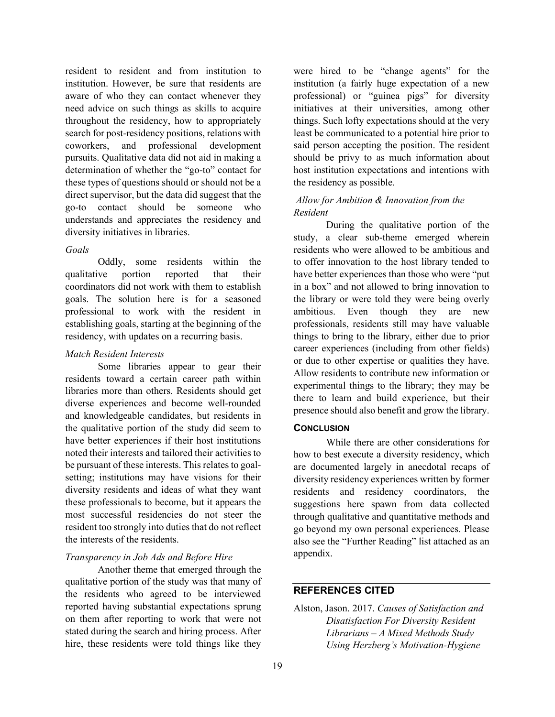institution. However, be sure that residents are need advice on such things as skills to acquire determination of whether the "go-to" contact for these types of questions should or should not be a diversity initiatives in libraries. resident to resident and from institution to aware of who they can contact whenever they throughout the residency, how to appropriately search for post-residency positions, relations with coworkers, and professional development pursuits. Qualitative data did not aid in making a direct supervisor, but the data did suggest that the go-to contact should be someone who understands and appreciates the residency and

#### *Goals*

 Oddly, some residents within the that coordinators did not work with them to establish establishing goals, starting at the beginning of the qualitative portion reported that their goals. The solution here is for a seasoned professional to work with the resident in residency, with updates on a recurring basis.

## *Match Resident Interests*

 the qualitative portion of the study did seem to have better experiences if their host institutions noted their interests and tailored their activities to setting; institutions may have visions for their these professionals to become, but it appears the resident too strongly into duties that do not reflect the interests of the residents. Some libraries appear to gear their residents toward a certain career path within libraries more than others. Residents should get diverse experiences and become well-rounded and knowledgeable candidates, but residents in be pursuant of these interests. This relates to goaldiversity residents and ideas of what they want most successful residencies do not steer the

## *Transparency in Job Ads and Before Hire*

 qualitative portion of the study was that many of Another theme that emerged through the the residents who agreed to be interviewed reported having substantial expectations sprung on them after reporting to work that were not stated during the search and hiring process. After hire, these residents were told things like they

 were hired to be "change agents" for the things. Such lofty expectations should at the very least be communicated to a potential hire prior to institution (a fairly huge expectation of a new professional) or "guinea pigs" for diversity initiatives at their universities, among other said person accepting the position. The resident should be privy to as much information about host institution expectations and intentions with the residency as possible.

## *Allow for Ambition & Innovation from the Resident*

 During the qualitative portion of the in a box" and not allowed to bring innovation to things to bring to the library, either due to prior career experiences (including from other fields) presence should also benefit and grow the library. study, a clear sub-theme emerged wherein residents who were allowed to be ambitious and to offer innovation to the host library tended to have better experiences than those who were "put the library or were told they were being overly ambitious. Even though they are new professionals, residents still may have valuable or due to other expertise or qualities they have. Allow residents to contribute new information or experimental things to the library; they may be there to learn and build experience, but their

## **CONCLUSION**

 are documented largely in anecdotal recaps of While there are other considerations for how to best execute a diversity residency, which diversity residency experiences written by former residents and residency coordinators, the suggestions here spawn from data collected through qualitative and quantitative methods and go beyond my own personal experiences. Please also see the "Further Reading" list attached as an appendix.

### **REFERENCES CITED**

 Alston, Jason. 2017. *Causes of Satisfaction and Librarians – A Mixed Methods Study Disatisfaction For Diversity Resident Using Herzberg's Motivation-Hygiene*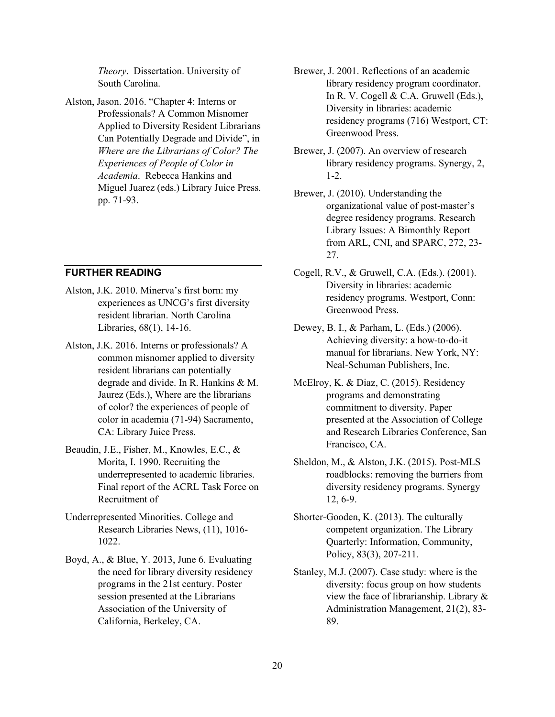*Theory*. Dissertation. University of South Carolina.

 Alston, Jason. 2016. "Chapter 4: Interns or Can Potentially Degrade and Divide", in Professionals? A Common Misnomer Applied to Diversity Resident Librarians *Where are the Librarians of Color? The Experiences of People of Color in Academia*. Rebecca Hankins and Miguel Juarez (eds.) Library Juice Press. pp. 71-93.

**FURTHER READING** 

- experiences as UNCG's first diversity Alston, J.K. 2010. Minerva's first born: my resident librarian. North Carolina Libraries, 68(1), 14-16.
- CA: Library Juice Press. Alston, J.K. 2016. Interns or professionals? A common misnomer applied to diversity resident librarians can potentially degrade and divide. In R. Hankins & M. Jaurez (Eds.), Where are the librarians of color? the experiences of people of color in academia (71-94) Sacramento,
- Beaudin, J.E., Fisher, M., Knowles, E.C., & Morita, I. 1990. Recruiting the underrepresented to academic libraries. Final report of the ACRL Task Force on Recruitment of
- Underrepresented Minorities. College and Research Libraries News, (11), 1016- 1022.
- Boyd, A., & Blue, Y. 2013, June 6. Evaluating the need for library diversity residency programs in the 21st century. Poster session presented at the Librarians Association of the University of California, Berkeley, CA.
- Brewer, J. 2001. Reflections of an academic library residency program coordinator. In R. V. Cogell & C.A. Gruwell (Eds.), Diversity in libraries: academic residency programs (716) Westport, CT: Greenwood Press.
- Brewer, J. (2007). An overview of research library residency programs. Synergy, 2, 1-2.
- Brewer, J. (2010). Understanding the organizational value of post-master's degree residency programs. Research Library Issues: A Bimonthly Report from ARL, CNI, and SPARC, 272, 23- 27.
- residency programs. Westport, Conn: Cogell, R.V., & Gruwell, C.A. (Eds.). (2001). Diversity in libraries: academic Greenwood Press.
- manual for librarians. New York, NY: Dewey, B. I., & Parham, L. (Eds.) (2006). Achieving diversity: a how-to-do-it Neal-Schuman Publishers, Inc.
- McElroy, K. & Diaz, C. (2015). Residency programs and demonstrating commitment to diversity. Paper presented at the Association of College and Research Libraries Conference, San Francisco, CA.
- roadblocks: removing the barriers from Sheldon, M., & Alston, J.K. (2015). Post-MLS diversity residency programs. Synergy 12, 6-9.
- Shorter-Gooden, K. (2013). The culturally competent organization. The Library Quarterly: Information, Community, Policy, 83(3), 207-211.
- Stanley, M.J. (2007). Case study: where is the view the face of librarianship. Library & diversity: focus group on how students Administration Management, 21(2), 83- 89.